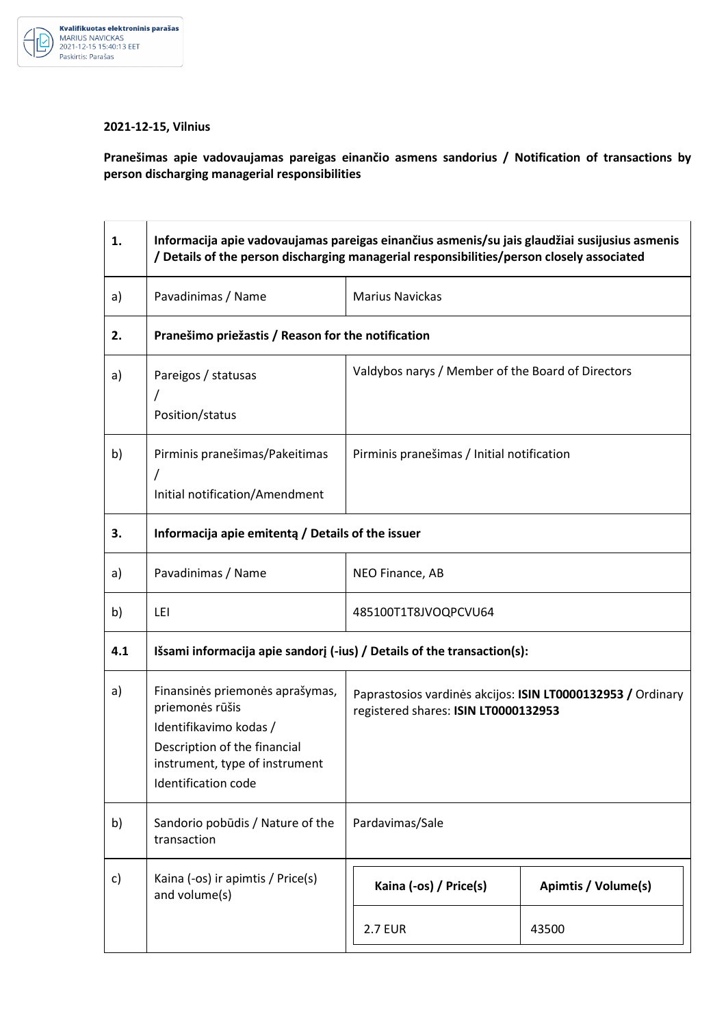

## Kvalifikuotas elektroninis parašas

## **2021-12-15, Vilnius**

**Pranešimas apie vadovaujamas pareigas einančio asmens sandorius / Notification of transactions by person discharging managerial responsibilities** 

| 1.  | Informacija apie vadovaujamas pareigas einančius asmenis/su jais glaudžiai susijusius asmenis<br>/ Details of the person discharging managerial responsibilities/person closely associated |                                                                                                     |                     |
|-----|--------------------------------------------------------------------------------------------------------------------------------------------------------------------------------------------|-----------------------------------------------------------------------------------------------------|---------------------|
| a)  | Pavadinimas / Name                                                                                                                                                                         | <b>Marius Navickas</b>                                                                              |                     |
| 2.  | Pranešimo priežastis / Reason for the notification                                                                                                                                         |                                                                                                     |                     |
| a)  | Pareigos / statusas<br>Position/status                                                                                                                                                     | Valdybos narys / Member of the Board of Directors                                                   |                     |
| b)  | Pirminis pranešimas/Pakeitimas<br>Τ<br>Initial notification/Amendment                                                                                                                      | Pirminis pranešimas / Initial notification                                                          |                     |
| 3.  | Informacija apie emitentą / Details of the issuer                                                                                                                                          |                                                                                                     |                     |
| a)  | Pavadinimas / Name                                                                                                                                                                         | NEO Finance, AB                                                                                     |                     |
| b)  | LEI                                                                                                                                                                                        | 485100T1T8JVOQPCVU64                                                                                |                     |
| 4.1 | Išsami informacija apie sandorį (-ius) / Details of the transaction(s):                                                                                                                    |                                                                                                     |                     |
| a)  | Finansinės priemonės aprašymas,<br>priemonės rūšis<br>Identifikavimo kodas /<br>Description of the financial<br>instrument, type of instrument<br>Identification code                      | Paprastosios vardinės akcijos: ISIN LT0000132953 / Ordinary<br>registered shares: ISIN LT0000132953 |                     |
| b)  | Sandorio pobūdis / Nature of the<br>transaction                                                                                                                                            | Pardavimas/Sale                                                                                     |                     |
| c)  | Kaina (-os) ir apimtis / Price(s)<br>and volume(s)                                                                                                                                         | Kaina (-os) / Price(s)                                                                              | Apimtis / Volume(s) |
|     |                                                                                                                                                                                            | <b>2.7 EUR</b>                                                                                      | 43500               |